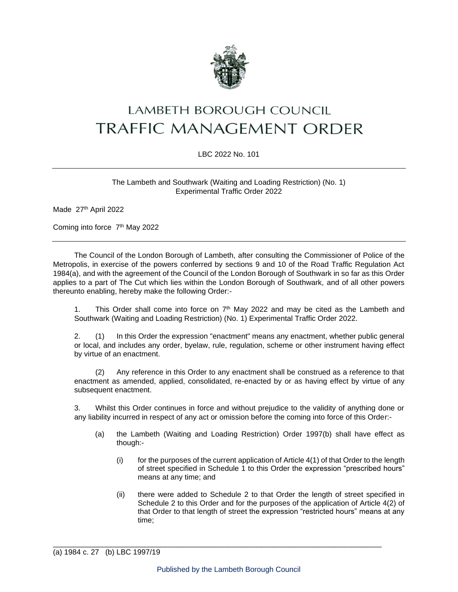

# LAMBETH BOROUGH COUNCIL **TRAFFIC MANAGEMENT ORDER**

### LBC 2022 No. 101

The Lambeth and Southwark (Waiting and Loading Restriction) (No. 1) Experimental Traffic Order 2022

Made 27th April 2022

Coming into force 7<sup>th</sup> May 2022

The Council of the London Borough of Lambeth, after consulting the Commissioner of Police of the Metropolis, in exercise of the powers conferred by sections 9 and 10 of the Road Traffic Regulation Act 1984(a), and with the agreement of the Council of the London Borough of Southwark in so far as this Order applies to a part of The Cut which lies within the London Borough of Southwark, and of all other powers thereunto enabling, hereby make the following Order:-

1. This Order shall come into force on  $7<sup>th</sup>$  May 2022 and may be cited as the Lambeth and Southwark (Waiting and Loading Restriction) (No. 1) Experimental Traffic Order 2022.

2. (1) In this Order the expression "enactment" means any enactment, whether public general or local, and includes any order, byelaw, rule, regulation, scheme or other instrument having effect by virtue of an enactment.

(2) Any reference in this Order to any enactment shall be construed as a reference to that enactment as amended, applied, consolidated, re-enacted by or as having effect by virtue of any subsequent enactment.

3. Whilst this Order continues in force and without prejudice to the validity of anything done or any liability incurred in respect of any act or omission before the coming into force of this Order:-

- (a) the Lambeth (Waiting and Loading Restriction) Order 1997(b) shall have effect as though:-
	- $(i)$  for the purposes of the current application of Article  $4(1)$  of that Order to the length of street specified in Schedule 1 to this Order the expression "prescribed hours" means at any time; and
	- (ii) there were added to Schedule 2 to that Order the length of street specified in Schedule 2 to this Order and for the purposes of the application of Article 4(2) of that Order to that length of street the expression "restricted hours" means at any time;

\_\_\_\_\_\_\_\_\_\_\_\_\_\_\_\_\_\_\_\_\_\_\_\_\_\_\_\_\_\_\_\_\_\_\_\_\_\_\_\_\_\_\_\_\_\_\_\_\_\_\_\_\_\_\_\_\_\_\_\_\_\_\_\_\_\_\_\_\_\_\_\_\_\_\_\_\_\_\_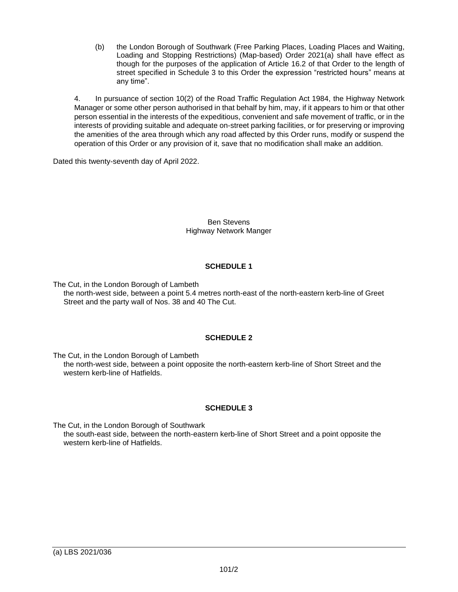(b) the London Borough of Southwark (Free Parking Places, Loading Places and Waiting, Loading and Stopping Restrictions) (Map-based) Order 2021(a) shall have effect as though for the purposes of the application of Article 16.2 of that Order to the length of street specified in Schedule 3 to this Order the expression "restricted hours" means at any time".

4. In pursuance of section 10(2) of the Road Traffic Regulation Act 1984, the Highway Network Manager or some other person authorised in that behalf by him, may, if it appears to him or that other person essential in the interests of the expeditious, convenient and safe movement of traffic, or in the interests of providing suitable and adequate on-street parking facilities, or for preserving or improving the amenities of the area through which any road affected by this Order runs, modify or suspend the operation of this Order or any provision of it, save that no modification shall make an addition.

Dated this twenty-seventh day of April 2022.

Ben Stevens Highway Network Manger

### **SCHEDULE 1**

The Cut, in the London Borough of Lambeth the north-west side, between a point 5.4 metres north-east of the north-eastern kerb-line of Greet Street and the party wall of Nos. 38 and 40 The Cut.

## **SCHEDULE 2**

The Cut, in the London Borough of Lambeth the north-west side, between a point opposite the north-eastern kerb-line of Short Street and the western kerb-line of Hatfields.

## **SCHEDULE 3**

The Cut, in the London Borough of Southwark the south-east side, between the north-eastern kerb-line of Short Street and a point opposite the western kerb-line of Hatfields.